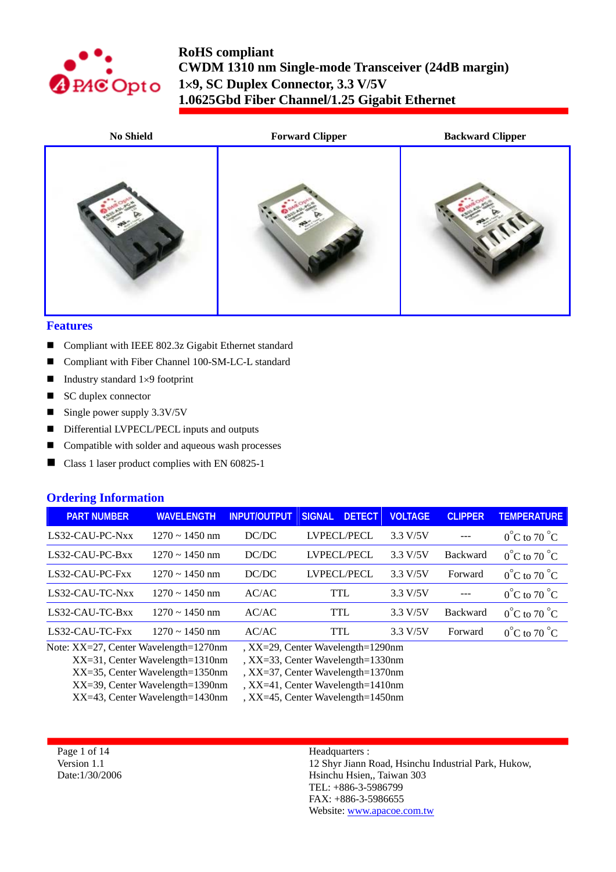



#### **Features**

- Compliant with IEEE 802.3z Gigabit Ethernet standard
- Compliant with Fiber Channel 100-SM-LC-L standard
- Industry standard  $1\times9$  footprint
- SC duplex connector
- Single power supply  $3.3V/5V$
- Differential LVPECL/PECL inputs and outputs
- Compatible with solder and aqueous wash processes
- Class 1 laser product complies with EN 60825-1

#### **Ordering Information**

| <b>PART NUMBER</b> | <b>WAVELENGTH</b>   | <b>INPUT/OUTPUT</b> | <b>DETECT</b><br><b>SIGNAL</b> | <b>VOLTAGE</b> | <b>CLIPPER</b>  | <b>TEMPERATURE</b>               |
|--------------------|---------------------|---------------------|--------------------------------|----------------|-----------------|----------------------------------|
| LS32-CAU-PC-Nxx    | $1270 \sim 1450$ nm | DC/DC               | LVPECL/PECL                    | 3.3 V/5V       |                 | $0^{\circ}$ C to 70 $^{\circ}$ C |
| LS32-CAU-PC-Bxx    | $1270 \sim 1450$ nm | DC/DC               | LVPECL/PECL                    | 3.3 V/5V       | <b>Backward</b> | $0^{\circ}$ C to 70 $^{\circ}$ C |
| LS32-CAU-PC-Fxx    | $1270 \sim 1450$ nm | DC/DC               | LVPECL/PECL                    | 3.3 V/5V       | Forward         | $0^{\circ}$ C to 70 $^{\circ}$ C |
| LS32-CAU-TC-Nxx    | $1270 \sim 1450$ nm | AC/AC               | TTL                            | 3.3 V/5V       | $---$           | $0^{\circ}$ C to 70 $^{\circ}$ C |
| LS32-CAU-TC-Bxx    | $1270 \sim 1450$ nm | AC/AC               | <b>TTL</b>                     | 3.3 V/5V       | <b>Backward</b> | $0^{\circ}$ C to 70 $^{\circ}$ C |
| LS32-CAU-TC-Fxx    | $1270 \sim 1450$ nm | AC/AC               | <b>TTL</b>                     | 3.3 V/5V       | Forward         | $0^{\circ}$ C to 70 $^{\circ}$ C |
|                    |                     |                     |                                |                |                 |                                  |

Note: XX=27, Center Wavelength=1270nm , XX=29, Center Wavelength=1290nm

XX=31, Center Wavelength=1310nm , XX=33, Center Wavelength=1330nm

XX=35, Center Wavelength=1350nm , XX=37, Center Wavelength=1370nm

XX=39, Center Wavelength=1390nm , XX=41, Center Wavelength=1410nm

XX=43, Center Wavelength=1430nm , XX=45, Center Wavelength=1450nm

Page 1 of 14 Version 1.1 Date:1/30/2006 Headquarters :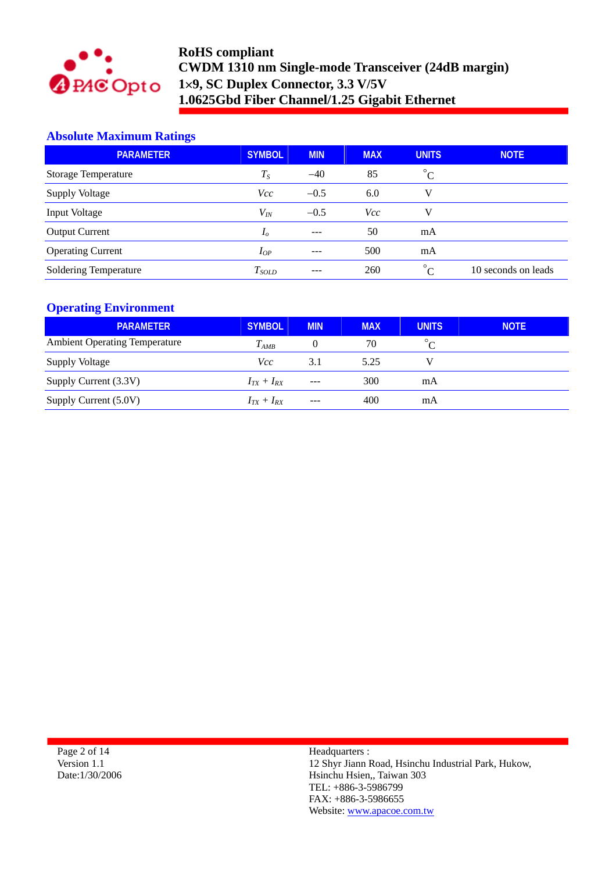

# **Absolute Maximum Ratings**

| <b>PARAMETER</b>             | <b>SYMBOL</b>  | <b>MIN</b> | <b>MAX</b> | <b>UNITS</b>                          | <b>NOTE</b>         |
|------------------------------|----------------|------------|------------|---------------------------------------|---------------------|
| <b>Storage Temperature</b>   | $T_{S}$        | $-40$      | 85         | $^{\circ}$ C                          |                     |
| <b>Supply Voltage</b>        | Vcc            | $-0.5$     | 6.0        | V                                     |                     |
| <b>Input Voltage</b>         | $V_{I\!N}$     | $-0.5$     | <b>Vcc</b> | V                                     |                     |
| <b>Output Current</b>        | I <sub>0</sub> | $- - -$    | 50         | mA                                    |                     |
| <b>Operating Current</b>     | $I_{OP}$       |            | 500        | mA                                    |                     |
| <b>Soldering Temperature</b> | $T_{SOLD}$     | ---        | 260        | $\circ$ <sup><math>\circ</math></sup> | 10 seconds on leads |

### **Operating Environment**

| <b>PARAMETER</b>                     | <b>SYMBOL</b>   | <b>MIN</b> | <b>MAX</b> | <b>UNITS</b> | <b>NOTE</b> |
|--------------------------------------|-----------------|------------|------------|--------------|-------------|
| <b>Ambient Operating Temperature</b> | $T_{AMB}$       | O          | 70         |              |             |
| Supply Voltage                       | Vcc             | 3.1        | 5.25       |              |             |
| Supply Current (3.3V)                | $I_{TX}+I_{RX}$ | $---$      | 300        | mA           |             |
| Supply Current (5.0V)                | $I_{TX}+I_{RX}$ | $---$      | 400        | mA           |             |

Page 2 of 14 Version 1.1 Date:1/30/2006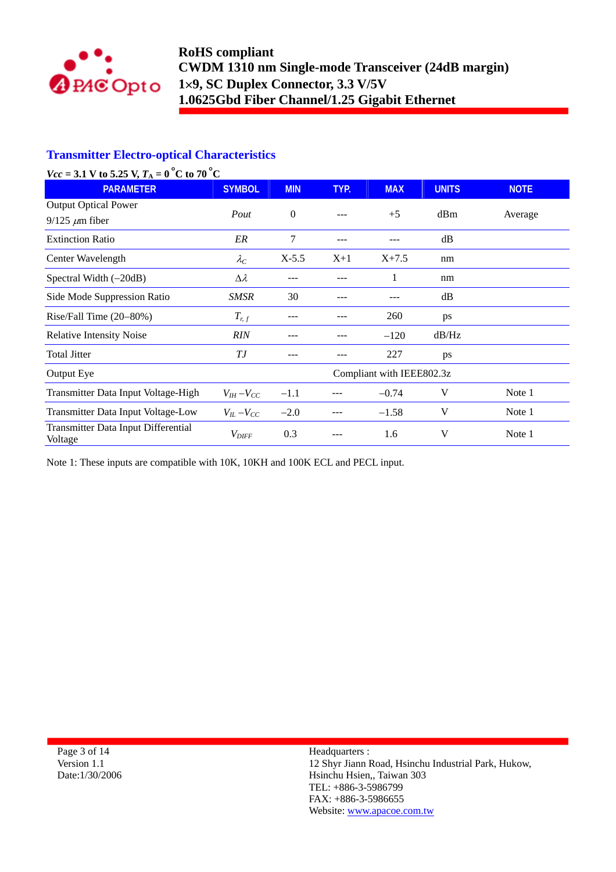

## **Transmitter Electro-optical Characteristics**

| $Vcc = 3.1 V to 5.25 V, TA = 0oC to 70oC$            |                     |            |       |                           |              |             |
|------------------------------------------------------|---------------------|------------|-------|---------------------------|--------------|-------------|
| <b>PARAMETER</b>                                     | <b>SYMBOL</b>       | <b>MIN</b> | TYP.  | <b>MAX</b>                | <b>UNITS</b> | <b>NOTE</b> |
| <b>Output Optical Power</b><br>$9/125 \ \mu m$ fiber | Pout                | $\Omega$   |       | $+5$                      | dBm          | Average     |
| <b>Extinction Ratio</b>                              | ER                  | 7          | ---   | ---                       | dB           |             |
| Center Wavelength                                    | $\lambda_C$         | $X-5.5$    | $X+1$ | $X + 7.5$                 | nm           |             |
| Spectral Width $(-20dB)$                             | $\Delta \lambda$    | ---        | ---   | 1                         | nm           |             |
| Side Mode Suppression Ratio                          | <b>SMSR</b>         | 30         |       |                           | dB           |             |
| Rise/Fall Time (20-80%)                              | $T_{r,f}$           |            |       | 260                       | ps           |             |
| <b>Relative Intensity Noise</b>                      | <b>RIN</b>          |            |       | $-120$                    | dB/Hz        |             |
| <b>Total Jitter</b>                                  | ТJ                  |            |       | 227                       | ps           |             |
| Output Eye                                           |                     |            |       | Compliant with IEEE802.3z |              |             |
| Transmitter Data Input Voltage-High                  | $V_{IH}-V_{CC}$     | $-1.1$     |       | $-0.74$                   | V            | Note 1      |
| Transmitter Data Input Voltage-Low                   | $V_{IL}$ – $V_{CC}$ | $-2.0$     |       | $-1.58$                   | V            | Note 1      |
| Transmitter Data Input Differential<br>Voltage       | $V_{\mathit{DIFF}}$ | 0.3        |       | 1.6                       | V            | Note 1      |

Note 1: These inputs are compatible with 10K, 10KH and 100K ECL and PECL input.

Page 3 of 14 Version 1.1 Date:1/30/2006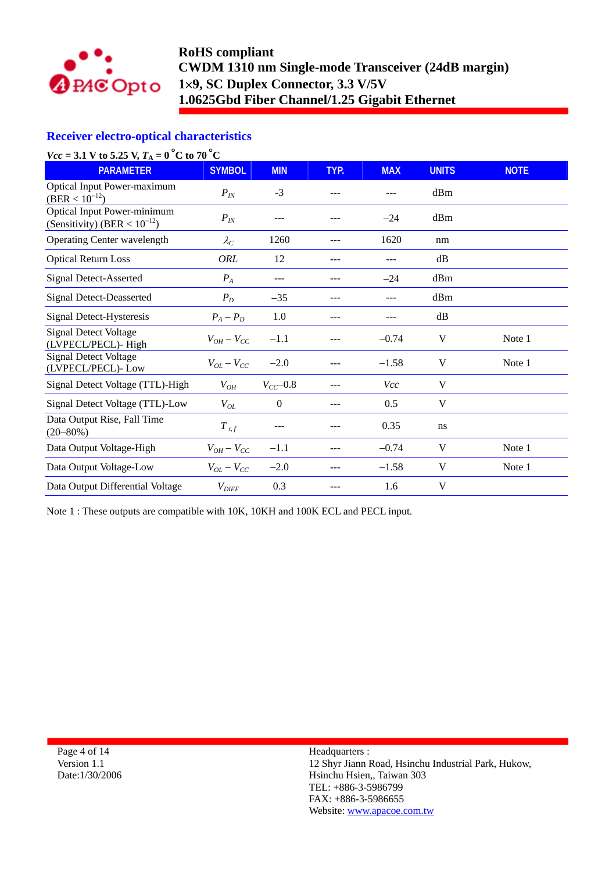

## **Receiver electro-optical characteristics**

| $Vcc = 3.1 V to 5.25 V, TA = 0oC to 70oC$                               |                     |                |      |            |              |             |
|-------------------------------------------------------------------------|---------------------|----------------|------|------------|--------------|-------------|
| <b>PARAMETER</b>                                                        | <b>SYMBOL</b>       | <b>MIN</b>     | TYP. | <b>MAX</b> | <b>UNITS</b> | <b>NOTE</b> |
| Optical Input Power-maximum<br>$(BER < 10^{-12})$                       | $P_{I\!N}$          | $-3$           |      | ---        | dBm          |             |
| <b>Optical Input Power-minimum</b><br>(Sensitivity) (BER < $10^{-12}$ ) | $P_{I\!N}$          | ---            |      | $-24$      | dBm          |             |
| <b>Operating Center wavelength</b>                                      | $\lambda_C$         | 1260           |      | 1620       | nm           |             |
| <b>Optical Return Loss</b>                                              | ORL                 | 12             | ---  | ---        | dB           |             |
| Signal Detect-Asserted                                                  | $P_A$               | ---            | ---  | $-24$      | dBm          |             |
| Signal Detect-Deasserted                                                | $P_D$               | $-35$          | ---  | ---        | dBm          |             |
| Signal Detect-Hysteresis                                                | $P_A - P_D$         | 1.0            | ---  | ---        | dB           |             |
| <b>Signal Detect Voltage</b><br>(LVPECL/PECL)-High                      | $V_{OH}-V_{CC}$     | $-1.1$         |      | $-0.74$    | V            | Note 1      |
| <b>Signal Detect Voltage</b><br>(LVPECL/PECL)-Low                       | $V_{OL} - V_{CC}$   | $-2.0$         |      | $-1.58$    | V            | Note 1      |
| Signal Detect Voltage (TTL)-High                                        | $V_{OH}$            | $V_{CC}$ -0.8  |      | Vcc        | V            |             |
| Signal Detect Voltage (TTL)-Low                                         | $V_{OL}$            | $\overline{0}$ |      | 0.5        | V            |             |
| Data Output Rise, Fall Time<br>$(20 - 80\%)$                            | $T_{r,f}$           | ---            |      | 0.35       | ns           |             |
| Data Output Voltage-High                                                | $V_{OH} - V_{CC}$   | $-1.1$         | ---  | $-0.74$    | V            | Note 1      |
| Data Output Voltage-Low                                                 | $V_{OL} - V_{CC}$   | $-2.0$         | ---  | $-1.58$    | V            | Note 1      |
| Data Output Differential Voltage                                        | $V_{\mathit{DIFF}}$ | 0.3            | ---  | 1.6        | V            |             |

Note 1 : These outputs are compatible with 10K, 10KH and 100K ECL and PECL input.

Page 4 of 14 Version 1.1 Date:1/30/2006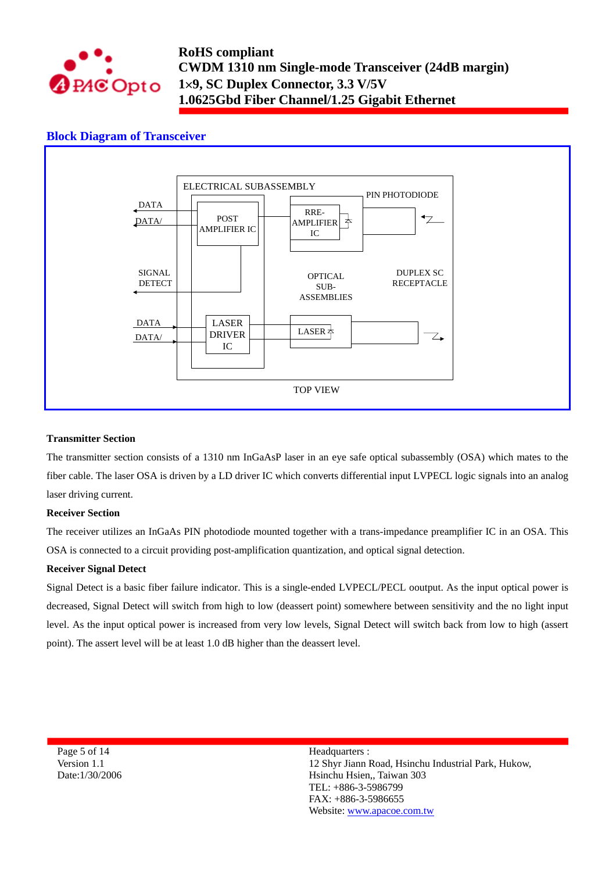

## **Block Diagram of Transceiver**



#### **Transmitter Section**

The transmitter section consists of a 1310 nm InGaAsP laser in an eye safe optical subassembly (OSA) which mates to the fiber cable. The laser OSA is driven by a LD driver IC which converts differential input LVPECL logic signals into an analog laser driving current.

#### **Receiver Section**

The receiver utilizes an InGaAs PIN photodiode mounted together with a trans-impedance preamplifier IC in an OSA. This OSA is connected to a circuit providing post-amplification quantization, and optical signal detection.

#### **Receiver Signal Detect**

Signal Detect is a basic fiber failure indicator. This is a single-ended LVPECL/PECL ooutput. As the input optical power is decreased, Signal Detect will switch from high to low (deassert point) somewhere between sensitivity and the no light input level. As the input optical power is increased from very low levels, Signal Detect will switch back from low to high (assert point). The assert level will be at least 1.0 dB higher than the deassert level.

Page 5 of 14 Version 1.1 Date:1/30/2006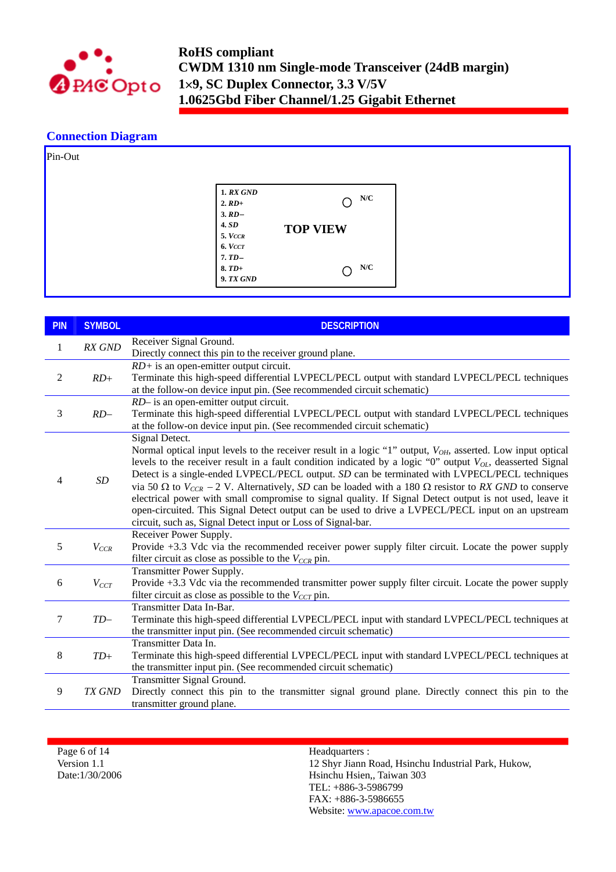

### **Connection Diagram**

| Pin-Out |                                                                                                                         |                                         |
|---------|-------------------------------------------------------------------------------------------------------------------------|-----------------------------------------|
|         | <b>1. RX GND</b><br>$2. RD+$<br>3. RD<br><b>4. SD</b><br>5. VCCR<br>6. VCCT<br>$7.TD-$<br>$8. T D+$<br><b>9. TX GND</b> | N/C<br>О<br><b>TOP VIEW</b><br>N/C<br>O |

| <b>PIN</b> | <b>SYMBOL</b> | <b>DESCRIPTION</b>                                                                                                                                                                                               |
|------------|---------------|------------------------------------------------------------------------------------------------------------------------------------------------------------------------------------------------------------------|
| 1          | <b>RX GND</b> | Receiver Signal Ground.                                                                                                                                                                                          |
|            |               | Directly connect this pin to the receiver ground plane.                                                                                                                                                          |
|            |               | $RD+$ is an open-emitter output circuit.                                                                                                                                                                         |
| 2          | $RD+$         | Terminate this high-speed differential LVPECL/PECL output with standard LVPECL/PECL techniques<br>at the follow-on device input pin. (See recommended circuit schematic)                                         |
|            |               | RD- is an open-emitter output circuit.                                                                                                                                                                           |
| 3          | $RD-$         | Terminate this high-speed differential LVPECL/PECL output with standard LVPECL/PECL techniques                                                                                                                   |
|            |               | at the follow-on device input pin. (See recommended circuit schematic)                                                                                                                                           |
|            |               | Signal Detect.                                                                                                                                                                                                   |
|            |               | Normal optical input levels to the receiver result in a logic "1" output, $V_{OH}$ , asserted. Low input optical                                                                                                 |
|            |               | levels to the receiver result in a fault condition indicated by a logic "0" output $V_{OL}$ , deasserted Signal<br>Detect is a single-ended LVPECL/PECL output. SD can be terminated with LVPECL/PECL techniques |
| 4          | SD            | via 50 $\Omega$ to $V_{CCR}$ – 2 V. Alternatively, SD can be loaded with a 180 $\Omega$ resistor to RX GND to conserve                                                                                           |
|            |               | electrical power with small compromise to signal quality. If Signal Detect output is not used, leave it                                                                                                          |
|            |               | open-circuited. This Signal Detect output can be used to drive a LVPECL/PECL input on an upstream                                                                                                                |
|            |               | circuit, such as, Signal Detect input or Loss of Signal-bar.                                                                                                                                                     |
|            |               | Receiver Power Supply.                                                                                                                                                                                           |
| 5          | $V_{CCR}$     | Provide +3.3 Vdc via the recommended receiver power supply filter circuit. Locate the power supply                                                                                                               |
|            |               | filter circuit as close as possible to the $V_{CCR}$ pin.                                                                                                                                                        |
|            |               | Transmitter Power Supply.                                                                                                                                                                                        |
| 6          | $V_{CCT}$     | Provide +3.3 Vdc via the recommended transmitter power supply filter circuit. Locate the power supply                                                                                                            |
|            |               | filter circuit as close as possible to the $V_{CCT}$ pin.                                                                                                                                                        |
|            |               | Transmitter Data In-Bar.                                                                                                                                                                                         |
| 7          | $TD-$         | Terminate this high-speed differential LVPECL/PECL input with standard LVPECL/PECL techniques at                                                                                                                 |
|            |               | the transmitter input pin. (See recommended circuit schematic)                                                                                                                                                   |
|            |               | Transmitter Data In.                                                                                                                                                                                             |
| 8          | $TD+$         | Terminate this high-speed differential LVPECL/PECL input with standard LVPECL/PECL techniques at                                                                                                                 |
|            |               | the transmitter input pin. (See recommended circuit schematic)                                                                                                                                                   |
|            |               | <b>Transmitter Signal Ground.</b>                                                                                                                                                                                |
| 9          | TX GND        | Directly connect this pin to the transmitter signal ground plane. Directly connect this pin to the                                                                                                               |
|            |               | transmitter ground plane.                                                                                                                                                                                        |

Page 6 of 14 Version 1.1 Date:1/30/2006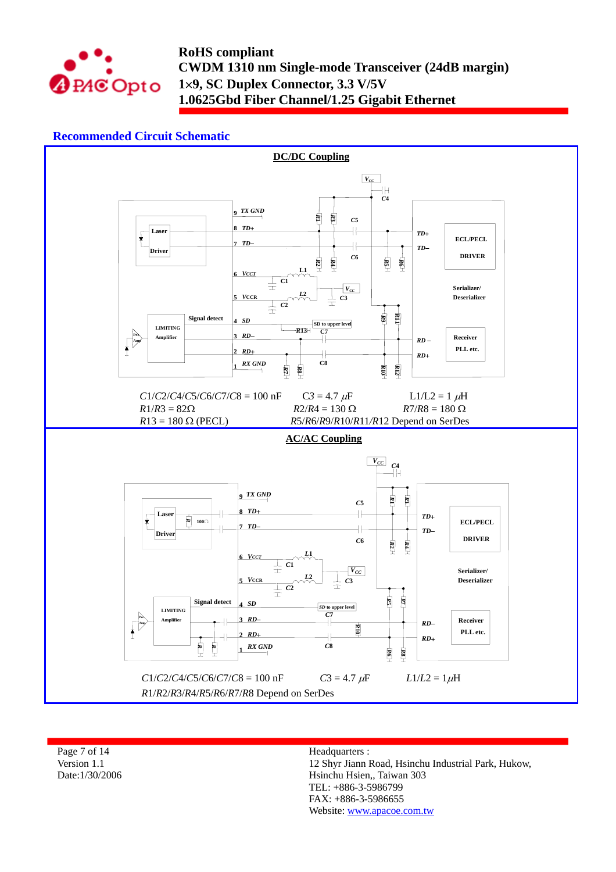

## **Recommended Circuit Schematic**



Page 7 of 14 Version 1.1 Date:1/30/2006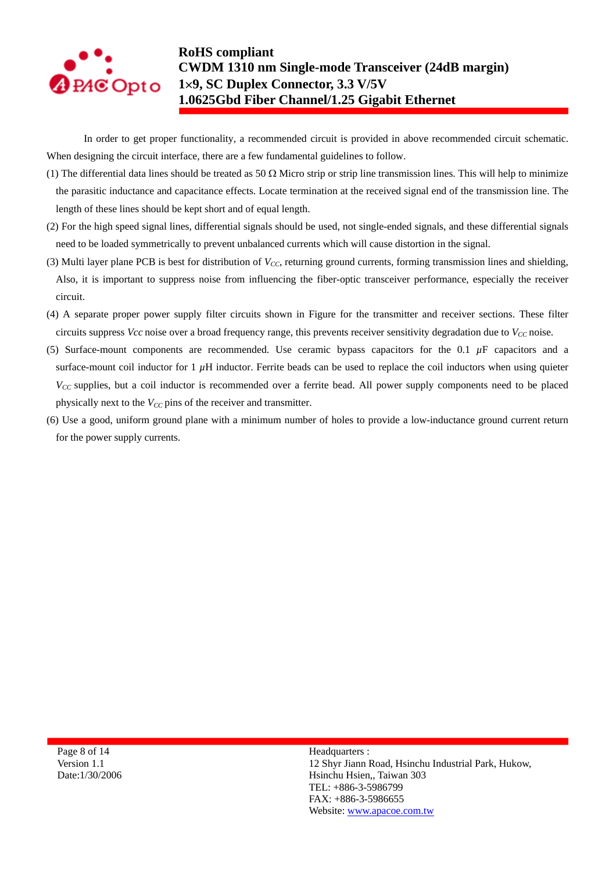

In order to get proper functionality, a recommended circuit is provided in above recommended circuit schematic. When designing the circuit interface, there are a few fundamental guidelines to follow.

- (1) The differential data lines should be treated as 50  $\Omega$  Micro strip or strip line transmission lines. This will help to minimize the parasitic inductance and capacitance effects. Locate termination at the received signal end of the transmission line. The length of these lines should be kept short and of equal length.
- (2) For the high speed signal lines, differential signals should be used, not single-ended signals, and these differential signals need to be loaded symmetrically to prevent unbalanced currents which will cause distortion in the signal.
- (3) Multi layer plane PCB is best for distribution of  $V_{CC}$ , returning ground currents, forming transmission lines and shielding, Also, it is important to suppress noise from influencing the fiber-optic transceiver performance, especially the receiver circuit.
- (4) A separate proper power supply filter circuits shown in Figure for the transmitter and receiver sections. These filter circuits suppress *Vcc* noise over a broad frequency range, this prevents receiver sensitivity degradation due to  $V_{CC}$  noise.
- (5) Surface-mount components are recommended. Use ceramic bypass capacitors for the 0.1  $\mu$ F capacitors and a surface-mount coil inductor for  $1 \mu$ H inductor. Ferrite beads can be used to replace the coil inductors when using quieter *V<sub>CC</sub>* supplies, but a coil inductor is recommended over a ferrite bead. All power supply components need to be placed physically next to the  $V_{CC}$  pins of the receiver and transmitter.
- (6) Use a good, uniform ground plane with a minimum number of holes to provide a low-inductance ground current return for the power supply currents.

Page 8 of 14 Version 1.1 Date:1/30/2006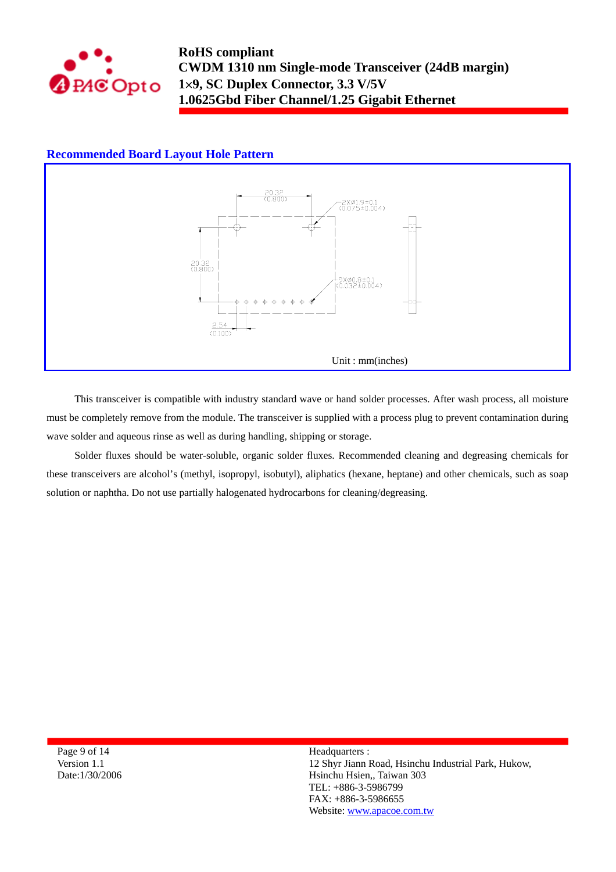

### **Recommended Board Layout Hole Pattern**



This transceiver is compatible with industry standard wave or hand solder processes. After wash process, all moisture must be completely remove from the module. The transceiver is supplied with a process plug to prevent contamination during wave solder and aqueous rinse as well as during handling, shipping or storage.

Solder fluxes should be water-soluble, organic solder fluxes. Recommended cleaning and degreasing chemicals for these transceivers are alcohol's (methyl, isopropyl, isobutyl), aliphatics (hexane, heptane) and other chemicals, such as soap solution or naphtha. Do not use partially halogenated hydrocarbons for cleaning/degreasing.

Page 9 of 14 Version 1.1 Date:1/30/2006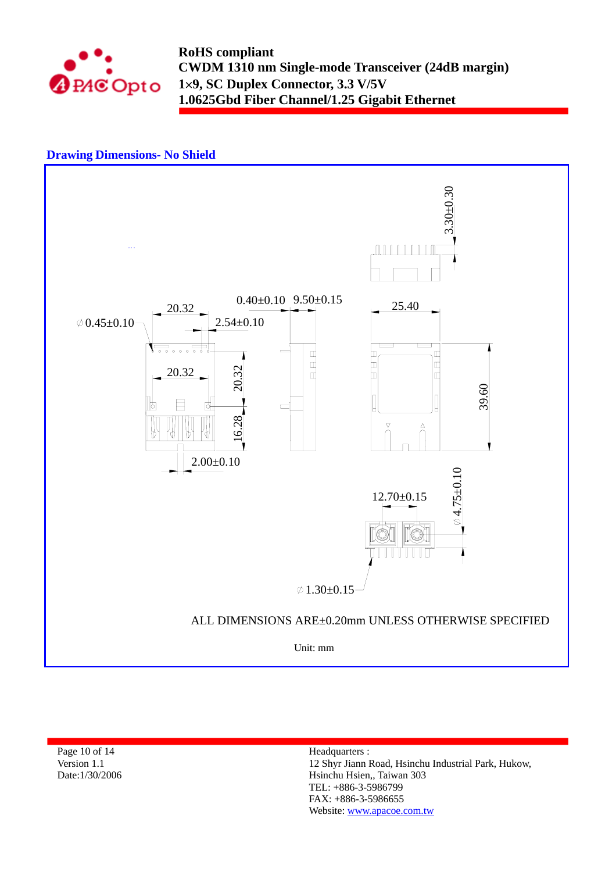

### **Drawing Dimensions- No Shield**



Page 10 of 14 Version 1.1 Date:1/30/2006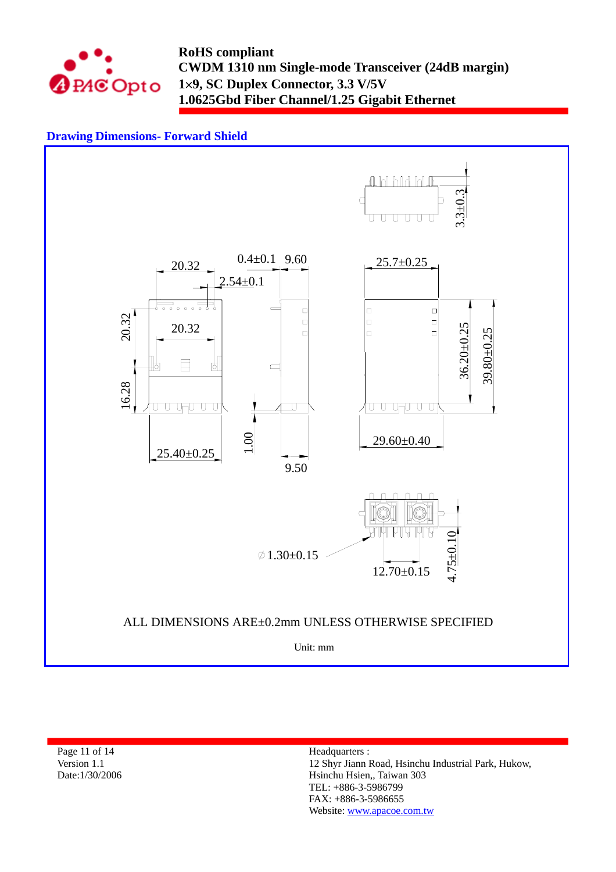

## **Drawing Dimensions- Forward Shield**



Page 11 of 14 Version 1.1 Date:1/30/2006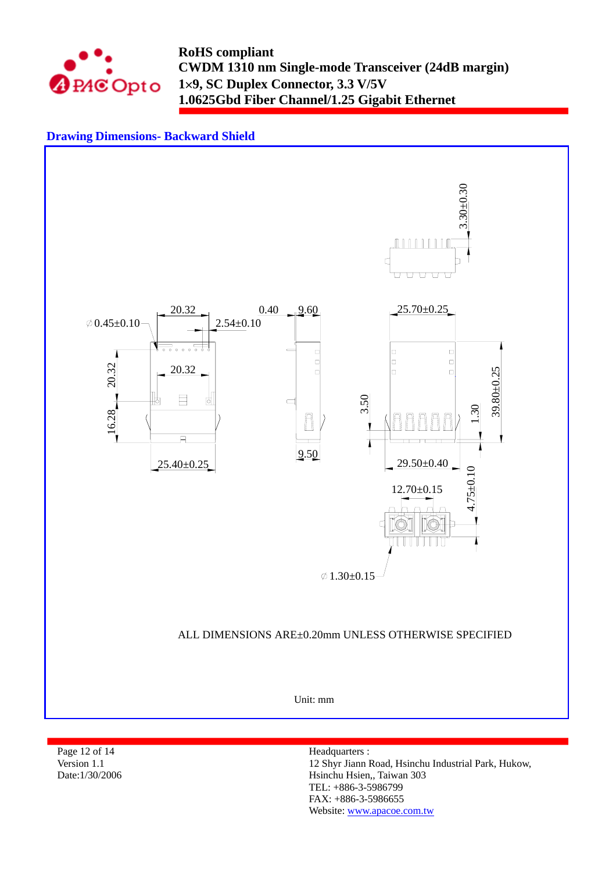

## **Drawing Dimensions- Backward Shield**



Page 12 of 14 Version 1.1 Date:1/30/2006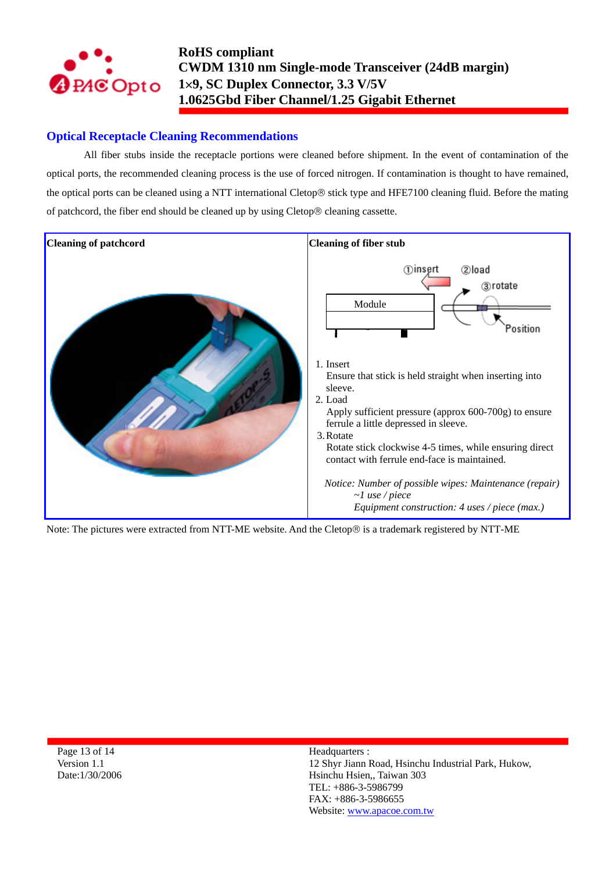

## **Optical Receptacle Cleaning Recommendations**

All fiber stubs inside the receptacle portions were cleaned before shipment. In the event of contamination of the optical ports, the recommended cleaning process is the use of forced nitrogen. If contamination is thought to have remained, the optical ports can be cleaned using a NTT international Cletop® stick type and HFE7100 cleaning fluid. Before the mating of patchcord, the fiber end should be cleaned up by using Cletop® cleaning cassette.



Note: The pictures were extracted from NTT-ME website. And the Cletop® is a trademark registered by NTT-ME

Page 13 of 14 Version 1.1 Date:1/30/2006